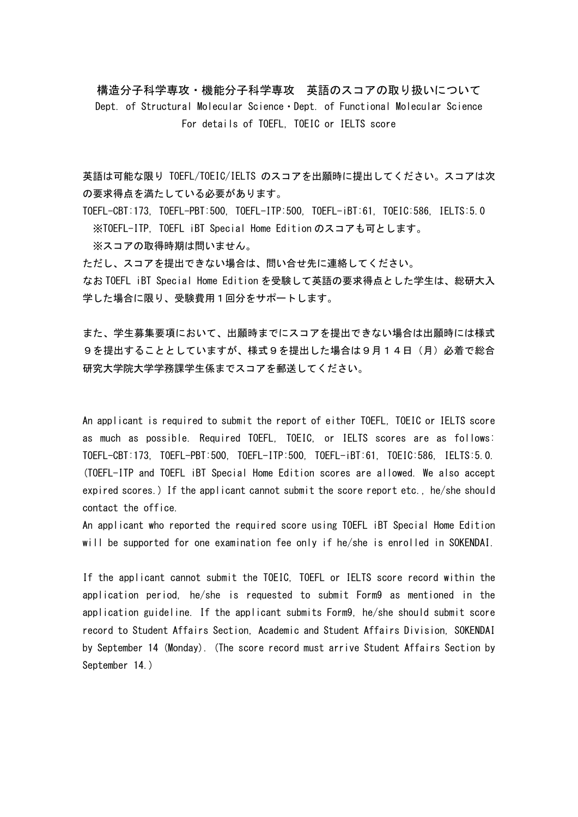構造分子科学専攻・機能分子科学専攻 英語のスコアの取り扱いについて Dept. of Structural Molecular Science・Dept. of Functional Molecular Science For details of TOEFL, TOEIC or IELTS score

英語は可能な限り TOEFL/TOEIC/IELTS のスコアを出願時に提出してください。スコアは次 の要求得点を満たしている必要があります。

TOEFL-CBT:173, TOEFL-PBT:500, TOEFL-ITP:500, TOEFL-iBT:61, TOEIC:586, IELTS:5.0 ※TOEFL-ITP, TOEFL iBT Special Home Edition のスコアも可とします。

※スコアの取得時期は問いません。

ただし、スコアを提出できない場合は、問い合せ先に連絡してください。 なお TOEFL iBT Special Home Edition を受験して英語の要求得点とした学生は、総研大入 学した場合に限り、受験費用1回分をサポートします。

また、学生募集要項において、出願時までにスコアを提出できない場合は出願時には様式 9を提出することとしていますが、様式9を提出した場合は9月14日(月)必着で総合 研究大学院大学学務課学生係までスコアを郵送してください。

An applicant is required to submit the report of either TOEFL, TOEIC or IELTS score as much as possible. Required TOEFL, TOEIC, or IELTS scores are as follows: TOEFL-CBT:173, TOEFL-PBT:500, TOEFL-ITP:500, TOEFL-iBT:61, TOEIC:586, IELTS:5.0. (TOEFL-ITP and TOEFL iBT Special Home Edition scores are allowed. We also accept expired scores.) If the applicant cannot submit the score report etc., he/she should contact the office.

An applicant who reported the required score using TOEFL iBT Special Home Edition will be supported for one examination fee only if he/she is enrolled in SOKENDAI.

If the applicant cannot submit the TOEIC, TOEFL or IELTS score record within the application period, he/she is requested to submit Form9 as mentioned in the application guideline. If the applicant submits Form9, he/she should submit score record to Student Affairs Section, Academic and Student Affairs Division, SOKENDAI by September 14 (Monday). (The score record must arrive Student Affairs Section by September 14.)